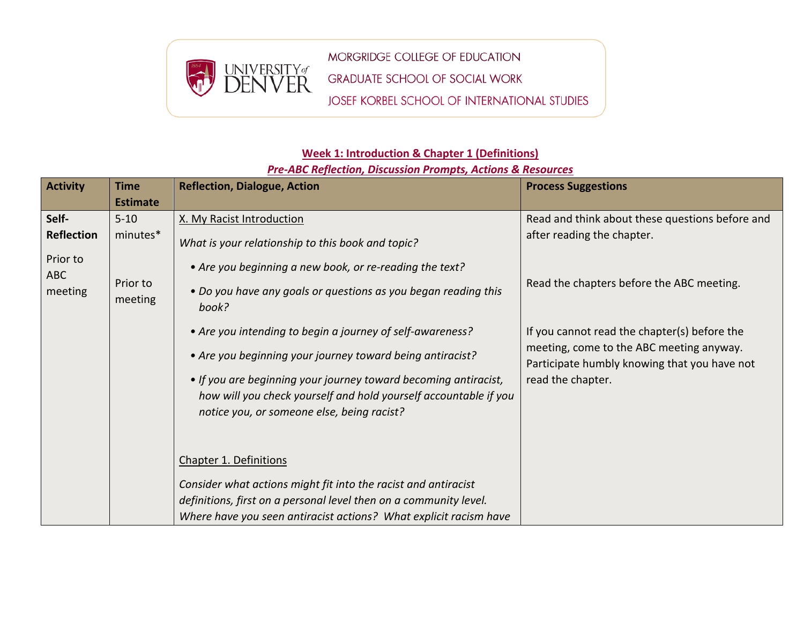

MORGRIDGE COLLEGE OF EDUCATION **GRADUATE SCHOOL OF SOCIAL WORK** JOSEF KORBEL SCHOOL OF INTERNATIONAL STUDIES

## **Week 1: Introduction & Chapter 1 (Definitions)**

## *Pre-ABC Reflection, Discussion Prompts, Actions & Resources*

| <b>Activity</b>                                                 | <b>Time</b>                                 | <b>Reflection, Dialogue, Action</b>                                                                                                                                                                                                                                                                                                                                                                                                                                                                                                 | <b>Process Suggestions</b>                                                                                                                                                                                                                                                                  |
|-----------------------------------------------------------------|---------------------------------------------|-------------------------------------------------------------------------------------------------------------------------------------------------------------------------------------------------------------------------------------------------------------------------------------------------------------------------------------------------------------------------------------------------------------------------------------------------------------------------------------------------------------------------------------|---------------------------------------------------------------------------------------------------------------------------------------------------------------------------------------------------------------------------------------------------------------------------------------------|
|                                                                 | <b>Estimate</b>                             |                                                                                                                                                                                                                                                                                                                                                                                                                                                                                                                                     |                                                                                                                                                                                                                                                                                             |
| Self-<br><b>Reflection</b><br>Prior to<br><b>ABC</b><br>meeting | $5 - 10$<br>minutes*<br>Prior to<br>meeting | X. My Racist Introduction<br>What is your relationship to this book and topic?<br>• Are you beginning a new book, or re-reading the text?<br>• Do you have any goals or questions as you began reading this<br>book?<br>• Are you intending to begin a journey of self-awareness?<br>• Are you beginning your journey toward being antiracist?<br>• If you are beginning your journey toward becoming antiracist,<br>how will you check yourself and hold yourself accountable if you<br>notice you, or someone else, being racist? | Read and think about these questions before and<br>after reading the chapter.<br>Read the chapters before the ABC meeting.<br>If you cannot read the chapter(s) before the<br>meeting, come to the ABC meeting anyway.<br>Participate humbly knowing that you have not<br>read the chapter. |
|                                                                 |                                             | <b>Chapter 1. Definitions</b><br>Consider what actions might fit into the racist and antiracist<br>definitions, first on a personal level then on a community level.<br>Where have you seen antiracist actions? What explicit racism have                                                                                                                                                                                                                                                                                           |                                                                                                                                                                                                                                                                                             |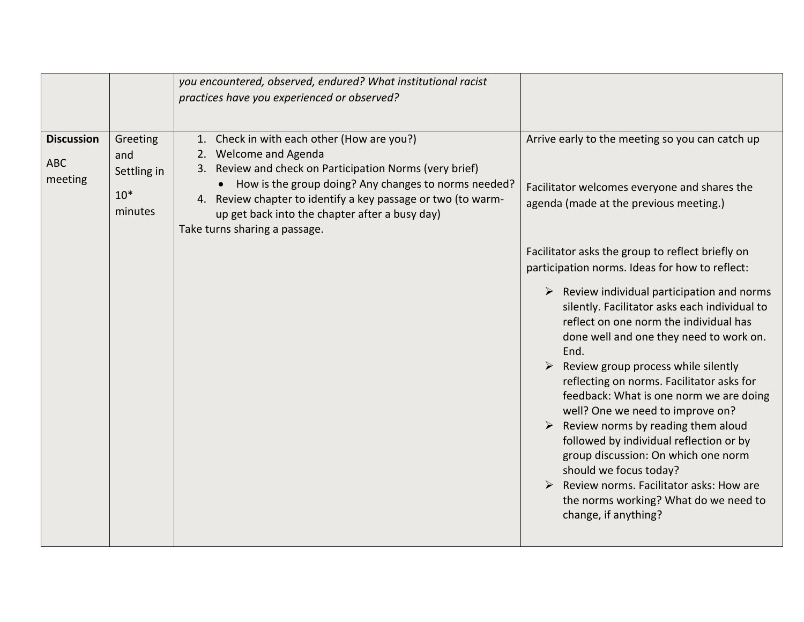|                                            |                                                    | you encountered, observed, endured? What institutional racist<br>practices have you experienced or observed?                                                                                                                                                                                                                                |                                                                                                                                                                                                                                                                                                                                                                                                                                                                                                                                                                                                                                                                                                                                                                                                                                                                                                                                                 |
|--------------------------------------------|----------------------------------------------------|---------------------------------------------------------------------------------------------------------------------------------------------------------------------------------------------------------------------------------------------------------------------------------------------------------------------------------------------|-------------------------------------------------------------------------------------------------------------------------------------------------------------------------------------------------------------------------------------------------------------------------------------------------------------------------------------------------------------------------------------------------------------------------------------------------------------------------------------------------------------------------------------------------------------------------------------------------------------------------------------------------------------------------------------------------------------------------------------------------------------------------------------------------------------------------------------------------------------------------------------------------------------------------------------------------|
| <b>Discussion</b><br><b>ABC</b><br>meeting | Greeting<br>and<br>Settling in<br>$10*$<br>minutes | 1. Check in with each other (How are you?)<br>2. Welcome and Agenda<br>3. Review and check on Participation Norms (very brief)<br>• How is the group doing? Any changes to norms needed?<br>4. Review chapter to identify a key passage or two (to warm-<br>up get back into the chapter after a busy day)<br>Take turns sharing a passage. | Arrive early to the meeting so you can catch up<br>Facilitator welcomes everyone and shares the<br>agenda (made at the previous meeting.)<br>Facilitator asks the group to reflect briefly on<br>participation norms. Ideas for how to reflect:<br>$\triangleright$ Review individual participation and norms<br>silently. Facilitator asks each individual to<br>reflect on one norm the individual has<br>done well and one they need to work on.<br>End.<br>$\triangleright$ Review group process while silently<br>reflecting on norms. Facilitator asks for<br>feedback: What is one norm we are doing<br>well? One we need to improve on?<br>$\triangleright$ Review norms by reading them aloud<br>followed by individual reflection or by<br>group discussion: On which one norm<br>should we focus today?<br>$\triangleright$ Review norms. Facilitator asks: How are<br>the norms working? What do we need to<br>change, if anything? |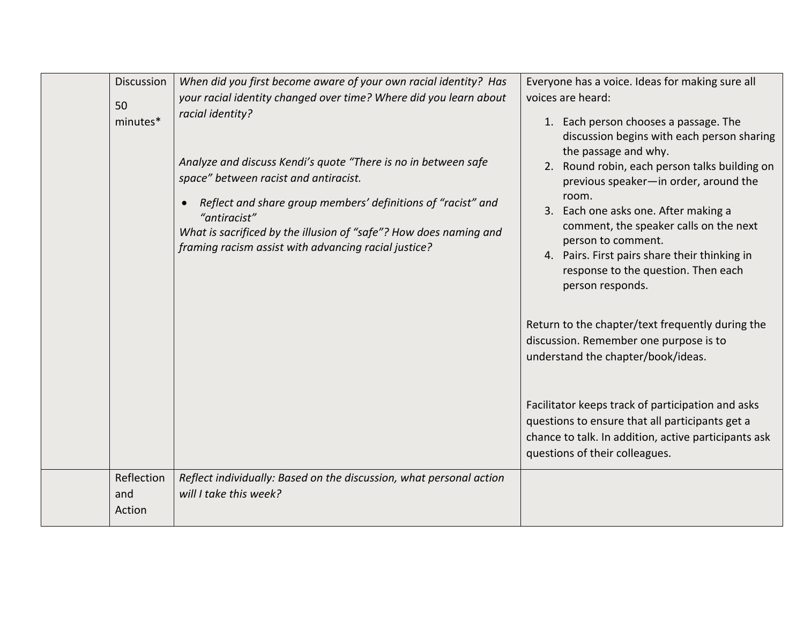| <b>Discussion</b><br>50<br>minutes* | When did you first become aware of your own racial identity? Has<br>your racial identity changed over time? Where did you learn about<br>racial identity?<br>Analyze and discuss Kendi's quote "There is no in between safe<br>space" between racist and antiracist.<br>Reflect and share group members' definitions of "racist" and<br>"antiracist"<br>What is sacrificed by the illusion of "safe"? How does naming and<br>framing racism assist with advancing racial justice? | Everyone has a voice. Ideas for making sure all<br>voices are heard:<br>1. Each person chooses a passage. The<br>discussion begins with each person sharing<br>the passage and why.<br>2. Round robin, each person talks building on<br>previous speaker-in order, around the<br>room.<br>3. Each one asks one. After making a<br>comment, the speaker calls on the next<br>person to comment.<br>4. Pairs. First pairs share their thinking in<br>response to the question. Then each<br>person responds.<br>Return to the chapter/text frequently during the<br>discussion. Remember one purpose is to<br>understand the chapter/book/ideas.<br>Facilitator keeps track of participation and asks<br>questions to ensure that all participants get a<br>chance to talk. In addition, active participants ask<br>questions of their colleagues. |
|-------------------------------------|-----------------------------------------------------------------------------------------------------------------------------------------------------------------------------------------------------------------------------------------------------------------------------------------------------------------------------------------------------------------------------------------------------------------------------------------------------------------------------------|--------------------------------------------------------------------------------------------------------------------------------------------------------------------------------------------------------------------------------------------------------------------------------------------------------------------------------------------------------------------------------------------------------------------------------------------------------------------------------------------------------------------------------------------------------------------------------------------------------------------------------------------------------------------------------------------------------------------------------------------------------------------------------------------------------------------------------------------------|
| Reflection<br>and<br>Action         | Reflect individually: Based on the discussion, what personal action<br>will I take this week?                                                                                                                                                                                                                                                                                                                                                                                     |                                                                                                                                                                                                                                                                                                                                                                                                                                                                                                                                                                                                                                                                                                                                                                                                                                                  |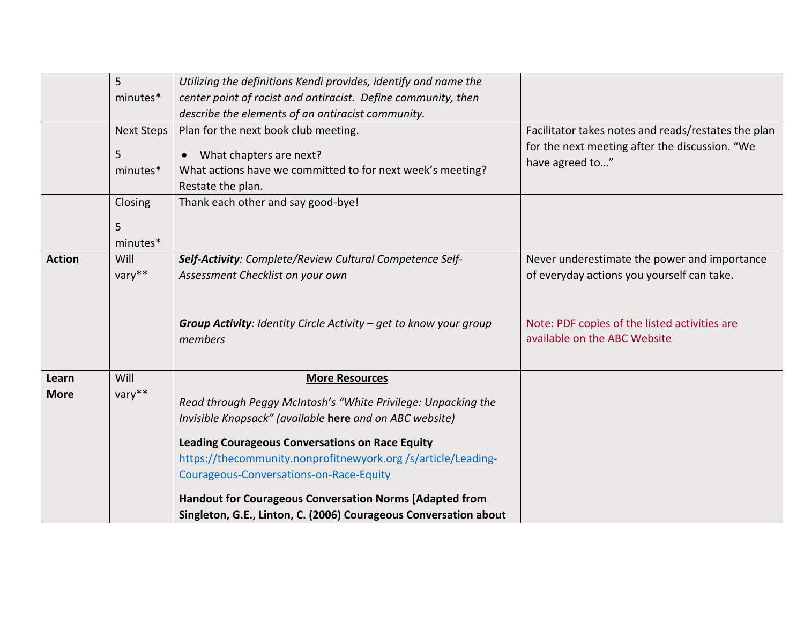|               | 5                 | Utilizing the definitions Kendi provides, identify and name the                                                                                                                                                                                                                                                                                                 |                                                                               |
|---------------|-------------------|-----------------------------------------------------------------------------------------------------------------------------------------------------------------------------------------------------------------------------------------------------------------------------------------------------------------------------------------------------------------|-------------------------------------------------------------------------------|
|               | minutes*          | center point of racist and antiracist. Define community, then                                                                                                                                                                                                                                                                                                   |                                                                               |
|               |                   | describe the elements of an antiracist community.                                                                                                                                                                                                                                                                                                               |                                                                               |
|               | <b>Next Steps</b> | Plan for the next book club meeting.                                                                                                                                                                                                                                                                                                                            | Facilitator takes notes and reads/restates the plan                           |
|               | 5<br>minutes*     | What chapters are next?<br>What actions have we committed to for next week's meeting?<br>Restate the plan.                                                                                                                                                                                                                                                      | for the next meeting after the discussion. "We<br>have agreed to"             |
|               | Closing           | Thank each other and say good-bye!                                                                                                                                                                                                                                                                                                                              |                                                                               |
|               | 5<br>minutes*     |                                                                                                                                                                                                                                                                                                                                                                 |                                                                               |
| <b>Action</b> | Will              | Self-Activity: Complete/Review Cultural Competence Self-                                                                                                                                                                                                                                                                                                        | Never underestimate the power and importance                                  |
|               | vary**            | Assessment Checklist on your own                                                                                                                                                                                                                                                                                                                                | of everyday actions you yourself can take.                                    |
|               |                   | <b>Group Activity:</b> Identity Circle Activity $-$ get to know your group<br>members                                                                                                                                                                                                                                                                           | Note: PDF copies of the listed activities are<br>available on the ABC Website |
| Learn         | Will              | <b>More Resources</b>                                                                                                                                                                                                                                                                                                                                           |                                                                               |
| <b>More</b>   | vary**            | Read through Peggy McIntosh's "White Privilege: Unpacking the<br>Invisible Knapsack" (available here and on ABC website)<br><b>Leading Courageous Conversations on Race Equity</b><br>https://thecommunity.nonprofitnewyork.org/s/article/Leading-<br>Courageous-Conversations-on-Race-Equity<br><b>Handout for Courageous Conversation Norms [Adapted from</b> |                                                                               |
|               |                   | Singleton, G.E., Linton, C. (2006) Courageous Conversation about                                                                                                                                                                                                                                                                                                |                                                                               |